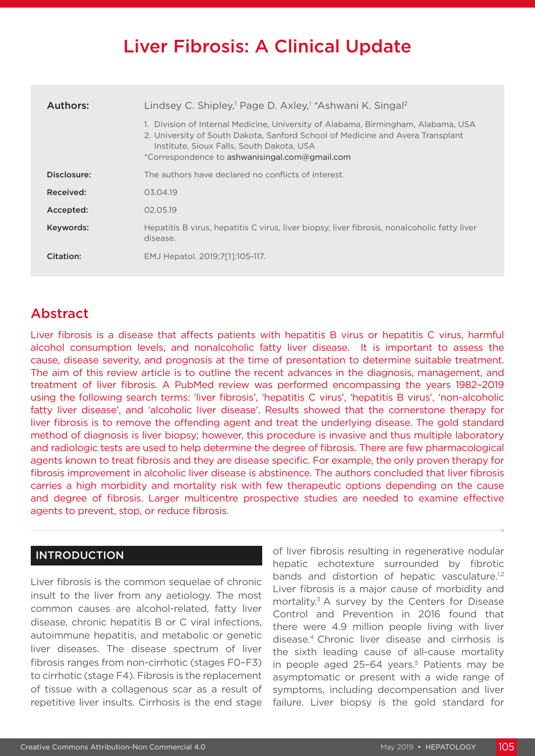# Liver Fibrosis: A Clinical Update

| Authors:    | Lindsey C. Shipley, <sup>1</sup> Page D. Axley, <sup>1</sup> *Ashwani K. Singal <sup>2</sup>                                                                                                                                                                       |  |
|-------------|--------------------------------------------------------------------------------------------------------------------------------------------------------------------------------------------------------------------------------------------------------------------|--|
|             | 1. Division of Internal Medicine, University of Alabama, Birmingham, Alabama, USA<br>2. University of South Dakota, Sanford School of Medicine and Avera Transplant<br>Institute, Sioux Falls, South Dakota, USA<br>*Correspondence to ashwanisingal.com@gmail.com |  |
| Disclosure: | The authors have declared no conflicts of interest.                                                                                                                                                                                                                |  |
| Received:   | 03.04.19                                                                                                                                                                                                                                                           |  |
| Accepted:   | 02.05.19                                                                                                                                                                                                                                                           |  |
| Keywords:   | Hepatitis B virus, hepatitis C virus, liver biopsy, liver fibrosis, nonalcoholic fatty liver<br>disease.                                                                                                                                                           |  |
| Citation:   | EMJ Hepatol. 2019;7[1]:105-117.                                                                                                                                                                                                                                    |  |

# Abstract

Liver fibrosis is a disease that affects patients with hepatitis B virus or hepatitis C virus, harmful alcohol consumption levels, and nonalcoholic fatty liver disease. It is important to assess the cause, disease severity, and prognosis at the time of presentation to determine suitable treatment. The aim of this review article is to outline the recent advances in the diagnosis, management, and treatment of liver fibrosis. A PubMed review was performed encompassing the years 1982–2019 using the following search terms: 'liver fibrosis', 'hepatitis C virus', 'hepatitis B virus', 'non-alcoholic fatty liver disease', and 'alcoholic liver disease'. Results showed that the cornerstone therapy for liver fibrosis is to remove the offending agent and treat the underlying disease. The gold standard method of diagnosis is liver biopsy; however, this procedure is invasive and thus multiple laboratory and radiologic tests are used to help determine the degree of fibrosis. There are few pharmacological agents known to treat fibrosis and they are disease specific. For example, the only proven therapy for fibrosis improvement in alcoholic liver disease is abstinence. The authors concluded that liver fibrosis carries a high morbidity and mortality risk with few therapeutic options depending on the cause and degree of fibrosis. Larger multicentre prospective studies are needed to examine effective agents to prevent, stop, or reduce fibrosis.

#### INTRODUCTION

Liver fibrosis is the common sequelae of chronic insult to the liver from any aetiology. The most common causes are alcohol-related, fatty liver disease, chronic hepatitis B or C viral infections, autoimmune hepatitis, and metabolic or genetic liver diseases. The disease spectrum of liver fibrosis ranges from non-cirrhotic (stages F0–F3) to cirrhotic (stage F4). Fibrosis is the replacement of tissue with a collagenous scar as a result of repetitive liver insults. Cirrhosis is the end stage

of liver fibrosis resulting in regenerative nodular hepatic echotexture surrounded by fibrotic bands and distortion of hepatic vasculature.<sup>1,2</sup> Liver fibrosis is a major cause of morbidity and mortality.<sup>3</sup> A survey by the Centers for Disease Control and Prevention in 2016 found that there were 4.9 million people living with liver disease.4 Chronic liver disease and cirrhosis is the sixth leading cause of all-cause mortality in people aged 25-64 years.<sup>5</sup> Patients may be asymptomatic or present with a wide range of symptoms, including decompensation and liver failure. Liver biopsy is the gold standard for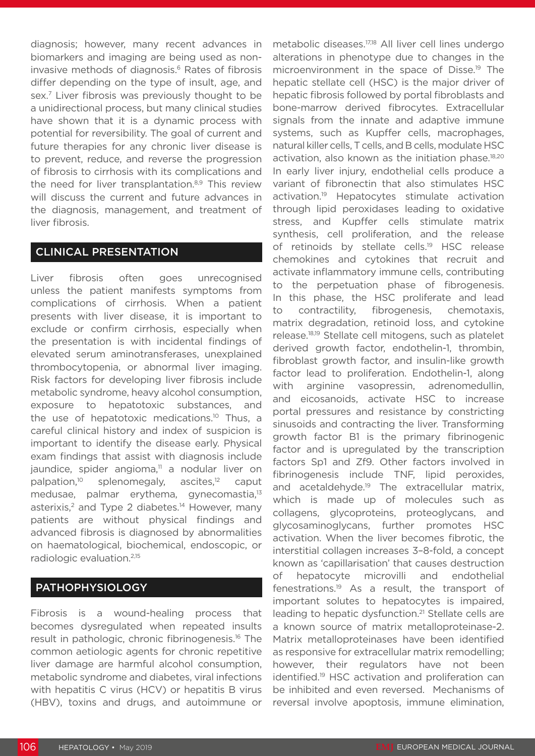diagnosis; however, many recent advances in biomarkers and imaging are being used as noninvasive methods of diagnosis.<sup>6</sup> Rates of fibrosis differ depending on the type of insult, age, and sex.7 Liver fibrosis was previously thought to be a unidirectional process, but many clinical studies have shown that it is a dynamic process with potential for reversibility. The goal of current and future therapies for any chronic liver disease is to prevent, reduce, and reverse the progression of fibrosis to cirrhosis with its complications and the need for liver transplantation.<sup>8,9</sup> This review will discuss the current and future advances in the diagnosis, management, and treatment of liver fibrosis.

#### CLINICAL PRESENTATION

Liver fibrosis often goes unrecognised unless the patient manifests symptoms from complications of cirrhosis. When a patient presents with liver disease, it is important to exclude or confirm cirrhosis, especially when the presentation is with incidental findings of elevated serum aminotransferases, unexplained thrombocytopenia, or abnormal liver imaging. Risk factors for developing liver fibrosis include metabolic syndrome, heavy alcohol consumption, exposure to hepatotoxic substances, and the use of hepatotoxic medications.<sup>10</sup> Thus, a careful clinical history and index of suspicion is important to identify the disease early. Physical exam findings that assist with diagnosis include jaundice, spider angioma,<sup>11</sup> a nodular liver on palpation,<sup>10</sup> splenomegaly, ascites,<sup>12</sup> caput medusae, palmar erythema, gynecomastia,<sup>13</sup> asterixis,<sup>2</sup> and Type 2 diabetes.<sup>14</sup> However, many patients are without physical findings and advanced fibrosis is diagnosed by abnormalities on haematological, biochemical, endoscopic, or radiologic evaluation.2,15

# PATHOPHYSIOLOGY

Fibrosis is a wound-healing process that becomes dysregulated when repeated insults result in pathologic, chronic fibrinogenesis.16 The common aetiologic agents for chronic repetitive liver damage are harmful alcohol consumption, metabolic syndrome and diabetes, viral infections with hepatitis C virus (HCV) or hepatitis B virus (HBV), toxins and drugs, and autoimmune or

metabolic diseases.17,18 All liver cell lines undergo alterations in phenotype due to changes in the microenvironment in the space of Disse.19 The hepatic stellate cell (HSC) is the major driver of hepatic fibrosis followed by portal fibroblasts and bone-marrow derived fibrocytes. Extracellular signals from the innate and adaptive immune systems, such as Kupffer cells, macrophages, natural killer cells, T cells, and B cells, modulate HSC activation, also known as the initiation phase.<sup>18,20</sup> In early liver injury, endothelial cells produce a variant of fibronectin that also stimulates HSC activation.19 Hepatocytes stimulate activation through lipid peroxidases leading to oxidative stress, and Kupffer cells stimulate matrix synthesis, cell proliferation, and the release of retinoids by stellate cells.<sup>19</sup> HSC release chemokines and cytokines that recruit and activate inflammatory immune cells, contributing to the perpetuation phase of fibrogenesis. In this phase, the HSC proliferate and lead to contractility, fibrogenesis, chemotaxis, matrix degradation, retinoid loss, and cytokine release.18,19 Stellate cell mitogens, such as platelet derived growth factor, endothelin-1, thrombin, fibroblast growth factor, and insulin-like growth factor lead to proliferation. Endothelin-1, along with arginine vasopressin, adrenomedullin, and eicosanoids, activate HSC to increase portal pressures and resistance by constricting sinusoids and contracting the liver. Transforming growth factor B1 is the primary fibrinogenic factor and is upregulated by the transcription factors Sp1 and Zf9. Other factors involved in fibrinogenesis include TNF, lipid peroxides, and acetaldehyde.<sup>19</sup> The extracellular matrix, which is made up of molecules such as collagens, glycoproteins, proteoglycans, and glycosaminoglycans, further promotes HSC activation. When the liver becomes fibrotic, the interstitial collagen increases 3–8-fold, a concept known as 'capillarisation' that causes destruction of hepatocyte microvilli and endothelial fenestrations.19 As a result, the transport of important solutes to hepatocytes is impaired, leading to hepatic dysfunction.<sup>21</sup> Stellate cells are a known source of matrix metalloproteinase-2. Matrix metalloproteinases have been identified as responsive for extracellular matrix remodelling; however, their regulators have not been identified.19 HSC activation and proliferation can be inhibited and even reversed. Mechanisms of reversal involve apoptosis, immune elimination,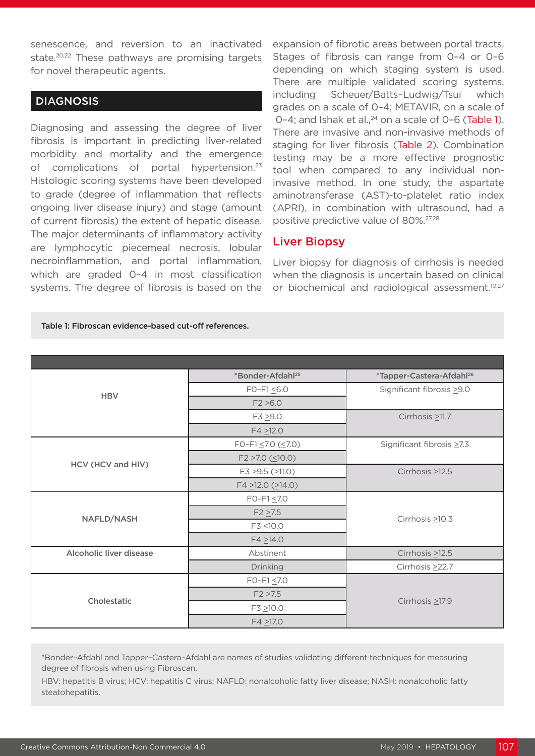senescence, and reversion to an inactivated state.<sup>20,22</sup> These pathways are promising targets for novel therapeutic agents.

#### **DIAGNOSIS**

Diagnosing and assessing the degree of liver fibrosis is important in predicting liver-related morbidity and mortality and the emergence of complications of portal hypertension.<sup>23</sup> Histologic scoring systems have been developed to grade (degree of inflammation that reflects ongoing liver disease injury) and stage (amount of current fibrosis) the extent of hepatic disease. The major determinants of inflammatory activity are lymphocytic piecemeal necrosis, lobular necroinflammation, and portal inflammation, which are graded 0–4 in most classification systems. The degree of fibrosis is based on the expansion of fibrotic areas between portal tracts. Stages of fibrosis can range from 0–4 or 0–6 depending on which staging system is used. There are multiple validated scoring systems, including Scheuer/Batts–Ludwig/Tsui which grades on a scale of 0–4; METAVIR, on a scale of  $0-4$ ; and Ishak et al.,  $24$  on a scale of  $0-6$  (Table 1). There are invasive and non-invasive methods of staging for liver fibrosis (Table 2). Combination testing may be a more effective prognostic tool when compared to any individual noninvasive method. In one study, the aspartate aminotransferase (AST)-to-platelet ratio index (APRI), in combination with ultrasound, had a positive predictive value of 80%.27,28

#### Liver Biopsy

Liver biopsy for diagnosis of cirrhosis is needed when the diagnosis is uncertain based on clinical or biochemical and radiological assessment.<sup>10,27</sup>

|                         | *Bonder-Afdahl <sup>25</sup>   | *Tapper-Castera-Afdahl <sup>26</sup> |  |
|-------------------------|--------------------------------|--------------------------------------|--|
| <b>HBV</b>              | $FO-F1 \leq 6.0$               | Significant fibrosis > 9.0           |  |
|                         | F2 > 6.0                       |                                      |  |
|                         | $F3 \ge 9.0$                   | Cirrhosis $\geq$ 11.7                |  |
|                         | $F4 \ge 12.0$                  |                                      |  |
|                         | FO-F1 $\leq$ 7.0 ( $\leq$ 7.0) | Significant fibrosis ≥7.3            |  |
| HCV (HCV and HIV)       | $F2 > 7.0$ ( $\leq 10.0$ )     |                                      |  |
|                         | $F3 \ge 9.5$ ( $\ge 11.0$ )    | Cirrhosis $\geq$ 12.5                |  |
|                         | $F4 \ge 12.0$ ( $\ge 14.0$ )   |                                      |  |
|                         | $FO-F1 \le 7.0$                |                                      |  |
| NAFLD/NASH              | $F2 \ge 7.5$                   | Cirrhosis $\geq 10.3$                |  |
|                         | F3 <10.0                       |                                      |  |
|                         | $F4 \ge 14.0$                  |                                      |  |
| Alcoholic liver disease | Abstinent                      | Cirrhosis $\geq$ 12.5                |  |
|                         | Drinking                       | Cirrhosis > 22.7                     |  |
|                         | $FO-F1 \le 7.0$                |                                      |  |
| Cholestatic             | $F2 \ge 7.5$                   |                                      |  |
|                         | $F3 \ge 10.0$                  | Cirrhosis $\geq$ 17.9                |  |
|                         | $F4 \ge 17.0$                  |                                      |  |

Table 1: Fibroscan evidence-based cut-off references.

\*Bonder–Afdahl and Tapper–Castera–Afdahl are names of studies validating different techniques for measuring degree of fibrosis when using Fibroscan.

HBV: hepatitis B virus; HCV: hepatitis C virus; NAFLD: nonalcoholic fatty liver disease; NASH: nonalcoholic fatty steatohepatitis.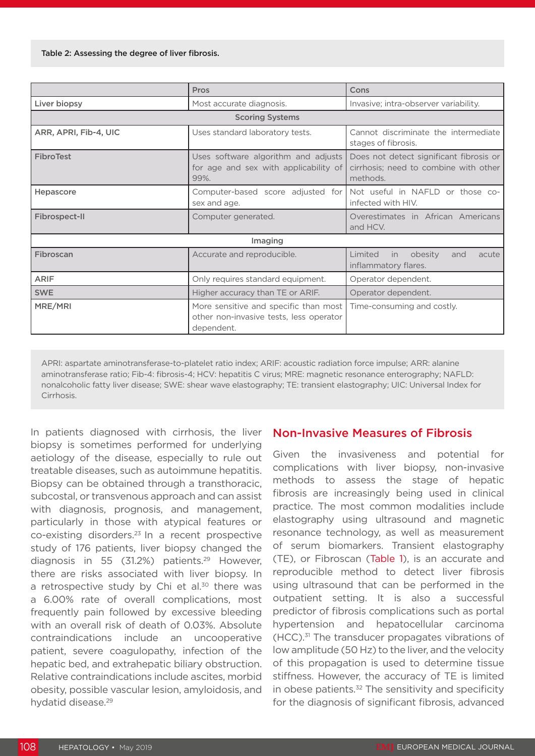|                        | <b>Pros</b>                                                                                    | Cons                                                                                         |  |  |
|------------------------|------------------------------------------------------------------------------------------------|----------------------------------------------------------------------------------------------|--|--|
| Liver biopsy           | Most accurate diagnosis.                                                                       | Invasive; intra-observer variability.                                                        |  |  |
| <b>Scoring Systems</b> |                                                                                                |                                                                                              |  |  |
| ARR, APRI, Fib-4, UIC  | Uses standard laboratory tests.                                                                | Cannot discriminate the intermediate<br>stages of fibrosis.                                  |  |  |
| <b>FibroTest</b>       | Uses software algorithm and adjusts<br>for age and sex with applicability of<br>99%.           | Does not detect significant fibrosis or<br>cirrhosis; need to combine with other<br>methods. |  |  |
| Hepascore              | sex and age.                                                                                   | Computer-based score adjusted for   Not useful in NAFLD or those co-<br>infected with HIV.   |  |  |
| Fibrospect-II          | Computer generated.                                                                            | Overestimates in African Americans<br>and HCV.                                               |  |  |
| Imaging                |                                                                                                |                                                                                              |  |  |
| Fibroscan              | Accurate and reproducible.                                                                     | Limited<br>obesity<br>acute<br>in.<br>and<br>inflammatory flares.                            |  |  |
| <b>ARIF</b>            | Only requires standard equipment.                                                              | Operator dependent.                                                                          |  |  |
| <b>SWE</b>             | Higher accuracy than TE or ARIF.                                                               | Operator dependent.                                                                          |  |  |
| MRE/MRI                | More sensitive and specific than most<br>other non-invasive tests, less operator<br>dependent. | Time-consuming and costly.                                                                   |  |  |

APRI: aspartate aminotransferase-to-platelet ratio index; ARIF: acoustic radiation force impulse; ARR: alanine aminotransferase ratio; Fib-4: fibrosis-4; HCV: hepatitis C virus; MRE: magnetic resonance enterography; NAFLD: nonalcoholic fatty liver disease; SWE: shear wave elastography; TE: transient elastography; UIC: Universal Index for **Cirrhosis** 

In patients diagnosed with cirrhosis, the liver biopsy is sometimes performed for underlying aetiology of the disease, especially to rule out treatable diseases, such as autoimmune hepatitis. Biopsy can be obtained through a transthoracic, subcostal, or transvenous approach and can assist with diagnosis, prognosis, and management, particularly in those with atypical features or co-existing disorders.23 In a recent prospective study of 176 patients, liver biopsy changed the diagnosis in 55 (31.2%) patients.<sup>29</sup> However, there are risks associated with liver biopsy. In a retrospective study by Chi et al.<sup>30</sup> there was a 6.00% rate of overall complications, most frequently pain followed by excessive bleeding with an overall risk of death of 0.03%. Absolute contraindications include an uncooperative patient, severe coagulopathy, infection of the hepatic bed, and extrahepatic biliary obstruction. Relative contraindications include ascites, morbid obesity, possible vascular lesion, amyloidosis, and hydatid disease.<sup>29</sup>

# Non-Invasive Measures of Fibrosis

Given the invasiveness and potential for complications with liver biopsy, non-invasive methods to assess the stage of hepatic fibrosis are increasingly being used in clinical practice. The most common modalities include elastography using ultrasound and magnetic resonance technology, as well as measurement of serum biomarkers. Transient elastography (TE), or Fibroscan (Table 1), is an accurate and reproducible method to detect liver fibrosis using ultrasound that can be performed in the outpatient setting. It is also a successful predictor of fibrosis complications such as portal hypertension and hepatocellular carcinoma  $(HCC).<sup>31</sup>$  The transducer propagates vibrations of low amplitude (50 Hz) to the liver, and the velocity of this propagation is used to determine tissue stiffness. However, the accuracy of TE is limited in obese patients.<sup>32</sup> The sensitivity and specificity for the diagnosis of significant fibrosis, advanced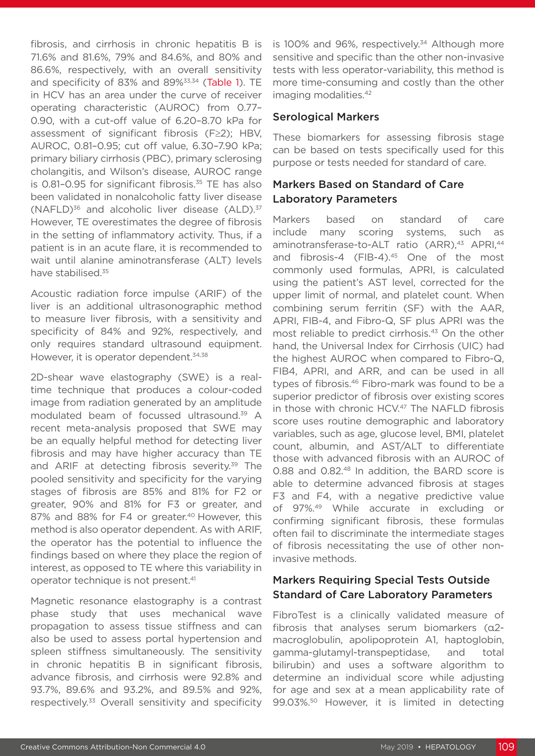fibrosis, and cirrhosis in chronic hepatitis B is 71.6% and 81.6%, 79% and 84.6%, and 80% and 86.6%, respectively, with an overall sensitivity and specificity of 83% and 89%<sup>33,34</sup> (Table 1). TE in HCV has an area under the curve of receiver operating characteristic (AUROC) from 0.77– 0.90, with a cut-off value of 6.20–8.70 kPa for assessment of significant fibrosis (F≥2); HBV, AUROC, 0.81–0.95; cut off value, 6.30–7.90 kPa; primary biliary cirrhosis (PBC), primary sclerosing cholangitis, and Wilson's disease, AUROC range is 0.81-0.95 for significant fibrosis. $35$  TE has also been validated in nonalcoholic fatty liver disease  $(NAFLD)^{36}$  and alcoholic liver disease  $(ALD)^{37}$ However, TE overestimates the degree of fibrosis in the setting of inflammatory activity. Thus, if a patient is in an acute flare, it is recommended to wait until alanine aminotransferase (ALT) levels have stabilised.<sup>35</sup>

Acoustic radiation force impulse (ARIF) of the liver is an additional ultrasonographic method to measure liver fibrosis, with a sensitivity and specificity of 84% and 92%, respectively, and only requires standard ultrasound equipment. However, it is operator dependent.<sup>34,38</sup>

2D-shear wave elastography (SWE) is a realtime technique that produces a colour-coded image from radiation generated by an amplitude modulated beam of focussed ultrasound.39 A recent meta-analysis proposed that SWE may be an equally helpful method for detecting liver fibrosis and may have higher accuracy than TE and ARIF at detecting fibrosis severity.<sup>39</sup> The pooled sensitivity and specificity for the varying stages of fibrosis are 85% and 81% for F2 or greater, 90% and 81% for F3 or greater, and 87% and 88% for F4 or greater.<sup>40</sup> However, this method is also operator dependent. As with ARIF, the operator has the potential to influence the findings based on where they place the region of interest, as opposed to TE where this variability in operator technique is not present.41

Magnetic resonance elastography is a contrast phase study that uses mechanical wave propagation to assess tissue stiffness and can also be used to assess portal hypertension and spleen stiffness simultaneously. The sensitivity in chronic hepatitis B in significant fibrosis, advance fibrosis, and cirrhosis were 92.8% and 93.7%, 89.6% and 93.2%, and 89.5% and 92%, respectively.33 Overall sensitivity and specificity

is 100% and 96%, respectively.<sup>34</sup> Although more sensitive and specific than the other non-invasive tests with less operator-variability, this method is more time-consuming and costly than the other imaging modalities.<sup>42</sup>

#### Serological Markers

These biomarkers for assessing fibrosis stage can be based on tests specifically used for this purpose or tests needed for standard of care.

#### Markers Based on Standard of Care Laboratory Parameters

Markers based on standard of care include many scoring systems, such as aminotransferase-to-ALT ratio (ARR),<sup>43</sup> APRI,<sup>44</sup> and fibrosis-4 (FIB-4).<sup>45</sup> One of the most commonly used formulas, APRI, is calculated using the patient's AST level, corrected for the upper limit of normal, and platelet count. When combining serum ferritin (SF) with the AAR, APRI, FIB-4, and Fibro-Q, SF plus APRI was the most reliable to predict cirrhosis.<sup>43</sup> On the other hand, the Universal Index for Cirrhosis (UIC) had the highest AUROC when compared to Fibro-Q, FIB4, APRI, and ARR, and can be used in all types of fibrosis.46 Fibro-mark was found to be a superior predictor of fibrosis over existing scores in those with chronic HCV.<sup>47</sup> The NAFLD fibrosis score uses routine demographic and laboratory variables, such as age, glucose level, BMI, platelet count, albumin, and AST/ALT to differentiate those with advanced fibrosis with an AUROC of 0.88 and 0.82.48 In addition, the BARD score is able to determine advanced fibrosis at stages F3 and F4, with a negative predictive value of 97%.49 While accurate in excluding or confirming significant fibrosis, these formulas often fail to discriminate the intermediate stages of fibrosis necessitating the use of other noninvasive methods.

#### Markers Requiring Special Tests Outside Standard of Care Laboratory Parameters

FibroTest is a clinically validated measure of fibrosis that analyses serum biomarkers (α2 macroglobulin, apolipoprotein A1, haptoglobin, gamma-glutamyl-transpeptidase, and total bilirubin) and uses a software algorithm to determine an individual score while adjusting for age and sex at a mean applicability rate of 99.03%.50 However, it is limited in detecting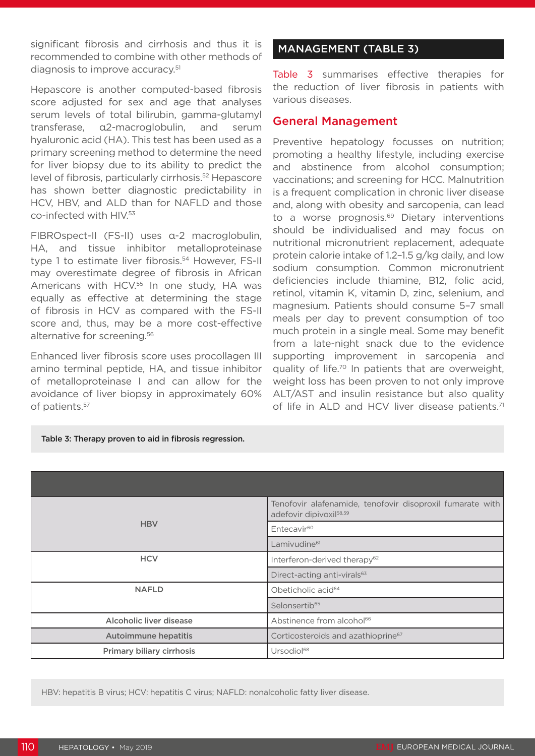significant fibrosis and cirrhosis and thus it is recommended to combine with other methods of diagnosis to improve accuracy.<sup>51</sup>

Hepascore is another computed-based fibrosis score adjusted for sex and age that analyses serum levels of total bilirubin, gamma-glutamyl transferase, α2-macroglobulin, and serum hyaluronic acid (HA). This test has been used as a primary screening method to determine the need for liver biopsy due to its ability to predict the level of fibrosis, particularly cirrhosis.<sup>52</sup> Hepascore has shown better diagnostic predictability in HCV, HBV, and ALD than for NAFLD and those co-infected with HIV.53

FIBROspect-II (FS-II) uses α-2 macroglobulin, HA, and tissue inhibitor metalloproteinase type 1 to estimate liver fibrosis.<sup>54</sup> However, FS-II may overestimate degree of fibrosis in African Americans with HCV.<sup>55</sup> In one study, HA was equally as effective at determining the stage of fibrosis in HCV as compared with the FS-II score and, thus, may be a more cost-effective alternative for screening.<sup>56</sup>

Enhanced liver fibrosis score uses procollagen III amino terminal peptide, HA, and tissue inhibitor of metalloproteinase I and can allow for the avoidance of liver biopsy in approximately 60% of patients.57

# MANAGEMENT (TABLE 3)

Table 3 summarises effective therapies for the reduction of liver fibrosis in patients with various diseases.

#### General Management

Preventive hepatology focusses on nutrition; promoting a healthy lifestyle, including exercise and abstinence from alcohol consumption; vaccinations; and screening for HCC. Malnutrition is a frequent complication in chronic liver disease and, along with obesity and sarcopenia, can lead to a worse prognosis.<sup>69</sup> Dietary interventions should be individualised and may focus on nutritional micronutrient replacement, adequate protein calorie intake of 1.2–1.5 g/kg daily, and low sodium consumption. Common micronutrient deficiencies include thiamine, B12, folic acid, retinol, vitamin K, vitamin D, zinc, selenium, and magnesium. Patients should consume 5–7 small meals per day to prevent consumption of too much protein in a single meal. Some may benefit from a late-night snack due to the evidence supporting improvement in sarcopenia and quality of life.70 In patients that are overweight, weight loss has been proven to not only improve ALT/AST and insulin resistance but also quality of life in ALD and HCV liver disease patients.<sup>71</sup>

|                             | Tenofovir alafenamide, tenofovir disoproxil fumarate with<br>adefovir dipivoxil <sup>58,59</sup> |
|-----------------------------|--------------------------------------------------------------------------------------------------|
| <b>HBV</b>                  | Entecavir <sup>60</sup>                                                                          |
|                             | Lamivudine <sup>61</sup>                                                                         |
| <b>HCV</b>                  | Interferon-derived therapy <sup>62</sup>                                                         |
|                             | Direct-acting anti-virals <sup>63</sup>                                                          |
| <b>NAFLD</b>                | Obeticholic acid <sup>64</sup>                                                                   |
|                             | Selonsertib <sup>65</sup>                                                                        |
| Alcoholic liver disease     | Abstinence from alcohol <sup>66</sup>                                                            |
| <b>Autoimmune hepatitis</b> | Corticosteroids and azathioprine <sup>67</sup>                                                   |
| Primary biliary cirrhosis   | Ursodiol <sup>68</sup>                                                                           |

Table 3: Therapy proven to aid in fibrosis regression.

HBV: hepatitis B virus; HCV: hepatitis C virus; NAFLD: nonalcoholic fatty liver disease.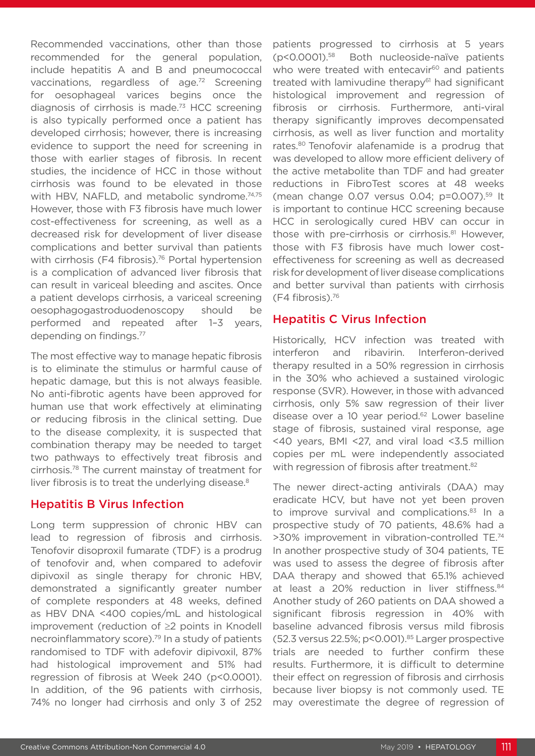Recommended vaccinations, other than those recommended for the general population, include hepatitis A and B and pneumococcal vaccinations, regardless of age.72 Screening for oesophageal varices begins once the diagnosis of cirrhosis is made.73 HCC screening is also typically performed once a patient has developed cirrhosis; however, there is increasing evidence to support the need for screening in those with earlier stages of fibrosis. In recent studies, the incidence of HCC in those without cirrhosis was found to be elevated in those with HBV, NAFLD, and metabolic syndrome.<sup>74,75</sup> However, those with F3 fibrosis have much lower cost-effectiveness for screening, as well as a decreased risk for development of liver disease complications and better survival than patients with cirrhosis (F4 fibrosis).<sup>76</sup> Portal hypertension is a complication of advanced liver fibrosis that can result in variceal bleeding and ascites. Once a patient develops cirrhosis, a variceal screening oesophagogastroduodenoscopy should be performed and repeated after 1–3 years, depending on findings.77

The most effective way to manage hepatic fibrosis is to eliminate the stimulus or harmful cause of hepatic damage, but this is not always feasible. No anti-fibrotic agents have been approved for human use that work effectively at eliminating or reducing fibrosis in the clinical setting. Due to the disease complexity, it is suspected that combination therapy may be needed to target two pathways to effectively treat fibrosis and cirrhosis.78 The current mainstay of treatment for liver fibrosis is to treat the underlying disease.<sup>8</sup>

# Hepatitis B Virus Infection

Long term suppression of chronic HBV can lead to regression of fibrosis and cirrhosis. Tenofovir disoproxil fumarate (TDF) is a prodrug of tenofovir and, when compared to adefovir dipivoxil as single therapy for chronic HBV, demonstrated a significantly greater number of complete responders at 48 weeks, defined as HBV DNA <400 copies/mL and histological improvement (reduction of ≥2 points in Knodell necroinflammatory score).79 In a study of patients randomised to TDF with adefovir dipivoxil, 87% had histological improvement and 51% had regression of fibrosis at Week 240 (p<0.0001). In addition, of the 96 patients with cirrhosis, 74% no longer had cirrhosis and only 3 of 252

patients progressed to cirrhosis at 5 years (p<0.0001).58 Both nucleoside-naïve patients who were treated with entecavir<sup>60</sup> and patients treated with lamivudine therapy<sup>61</sup> had significant histological improvement and regression of fibrosis or cirrhosis. Furthermore, anti-viral therapy significantly improves decompensated cirrhosis, as well as liver function and mortality rates.<sup>80</sup> Tenofovir alafenamide is a prodrug that was developed to allow more efficient delivery of the active metabolite than TDF and had greater reductions in FibroTest scores at 48 weeks (mean change 0.07 versus 0.04; p=0.007).59 It is important to continue HCC screening because HCC in serologically cured HBV can occur in those with pre-cirrhosis or cirrhosis.<sup>81</sup> However, those with F3 fibrosis have much lower costeffectiveness for screening as well as decreased risk for development of liver disease complications and better survival than patients with cirrhosis (F4 fibrosis).76

# Hepatitis C Virus Infection

Historically, HCV infection was treated with interferon and ribavirin. Interferon-derived therapy resulted in a 50% regression in cirrhosis in the 30% who achieved a sustained virologic response (SVR). However, in those with advanced cirrhosis, only 5% saw regression of their liver disease over a 10 year period.<sup>62</sup> Lower baseline stage of fibrosis, sustained viral response, age <40 years, BMI <27, and viral load <3.5 million copies per mL were independently associated with regression of fibrosis after treatment.<sup>82</sup>

The newer direct-acting antivirals (DAA) may eradicate HCV, but have not yet been proven to improve survival and complications.<sup>83</sup> In a prospective study of 70 patients, 48.6% had a >30% improvement in vibration-controlled TE.74 In another prospective study of 304 patients, TE was used to assess the degree of fibrosis after DAA therapy and showed that 65.1% achieved at least a 20% reduction in liver stiffness.<sup>84</sup> Another study of 260 patients on DAA showed a significant fibrosis regression in 40% with baseline advanced fibrosis versus mild fibrosis  $(52.3 \text{ versus } 22.5\%; p < 0.001).$ <sup>85</sup> Larger prospective trials are needed to further confirm these results. Furthermore, it is difficult to determine their effect on regression of fibrosis and cirrhosis because liver biopsy is not commonly used. TE may overestimate the degree of regression of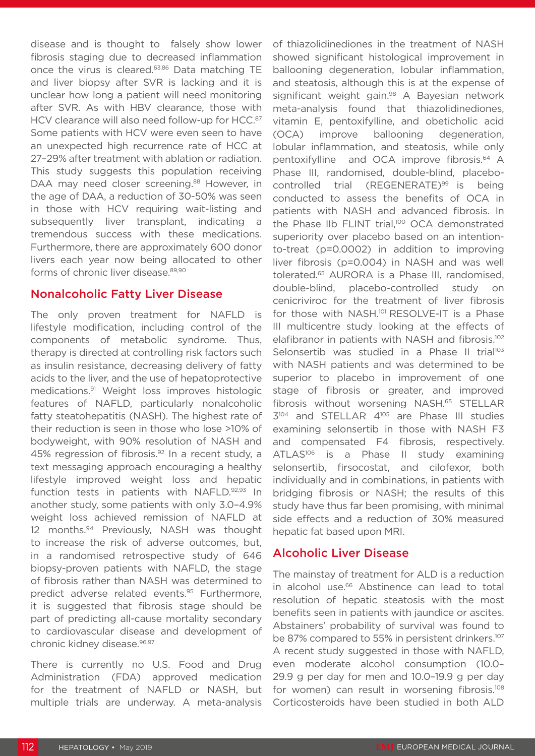disease and is thought to falsely show lower fibrosis staging due to decreased inflammation once the virus is cleared.63,86 Data matching TE and liver biopsy after SVR is lacking and it is unclear how long a patient will need monitoring after SVR. As with HBV clearance, those with HCV clearance will also need follow-up for HCC.<sup>87</sup> Some patients with HCV were even seen to have an unexpected high recurrence rate of HCC at 27–29% after treatment with ablation or radiation. This study suggests this population receiving DAA may need closer screening.<sup>88</sup> However, in the age of DAA, a reduction of 30-50% was seen in those with HCV requiring wait-listing and subsequently liver transplant, indicating a tremendous success with these medications. Furthermore, there are approximately 600 donor livers each year now being allocated to other forms of chronic liver disease.<sup>89,90</sup>

# Nonalcoholic Fatty Liver Disease

The only proven treatment for NAFLD is lifestyle modification, including control of the components of metabolic syndrome. Thus, therapy is directed at controlling risk factors such as insulin resistance, decreasing delivery of fatty acids to the liver, and the use of hepatoprotective medications.91 Weight loss improves histologic features of NAFLD, particularly nonalcoholic fatty steatohepatitis (NASH). The highest rate of their reduction is seen in those who lose >10% of bodyweight, with 90% resolution of NASH and 45% regression of fibrosis.<sup>92</sup> In a recent study, a text messaging approach encouraging a healthy lifestyle improved weight loss and hepatic function tests in patients with NAFLD.92,93 In another study, some patients with only 3.0–4.9% weight loss achieved remission of NAFLD at 12 months.94 Previously, NASH was thought to increase the risk of adverse outcomes, but, in a randomised retrospective study of 646 biopsy-proven patients with NAFLD, the stage of fibrosis rather than NASH was determined to predict adverse related events.95 Furthermore, it is suggested that fibrosis stage should be part of predicting all-cause mortality secondary to cardiovascular disease and development of chronic kidney disease.<sup>96,97</sup>

There is currently no U.S. Food and Drug Administration (FDA) approved medication for the treatment of NAFLD or NASH, but multiple trials are underway. A meta-analysis of thiazolidinediones in the treatment of NASH showed significant histological improvement in ballooning degeneration, lobular inflammation, and steatosis, although this is at the expense of significant weight gain.<sup>98</sup> A Bayesian network meta-analysis found that thiazolidinediones, vitamin E, pentoxifylline, and obeticholic acid (OCA) improve ballooning degeneration, lobular inflammation, and steatosis, while only pentoxifylline and OCA improve fibrosis.<sup>64</sup> A Phase III, randomised, double-blind, placebocontrolled trial (REGENERATE)<sup>99</sup> is being conducted to assess the benefits of OCA in patients with NASH and advanced fibrosis. In the Phase IIb FLINT trial,<sup>100</sup> OCA demonstrated superiority over placebo based on an intentionto-treat (p=0.0002) in addition to improving liver fibrosis (p=0.004) in NASH and was well tolerated.65 AURORA is a Phase III, randomised, double-blind, placebo-controlled study on cenicriviroc for the treatment of liver fibrosis for those with NASH.<sup>101</sup> RESOLVE-IT is a Phase III multicentre study looking at the effects of elafibranor in patients with NASH and fibrosis.<sup>102</sup> Selonsertib was studied in a Phase II trial<sup>103</sup> with NASH patients and was determined to be superior to placebo in improvement of one stage of fibrosis or greater, and improved fibrosis without worsening NASH.65 STELLAR 3104 and STELLAR 4105 are Phase III studies examining selonsertib in those with NASH F3 and compensated F4 fibrosis, respectively. ATLAS<sup>106</sup> is a Phase II study examining selonsertib, firsocostat, and cilofexor, both individually and in combinations, in patients with bridging fibrosis or NASH; the results of this study have thus far been promising, with minimal side effects and a reduction of 30% measured hepatic fat based upon MRI.

# Alcoholic Liver Disease

The mainstay of treatment for ALD is a reduction in alcohol use.<sup>66</sup> Abstinence can lead to total resolution of hepatic steatosis with the most benefits seen in patients with jaundice or ascites. Abstainers' probability of survival was found to be 87% compared to 55% in persistent drinkers.<sup>107</sup> A recent study suggested in those with NAFLD, even moderate alcohol consumption (10.0– 29.9 g per day for men and 10.0–19.9 g per day for women) can result in worsening fibrosis.<sup>108</sup> Corticosteroids have been studied in both ALD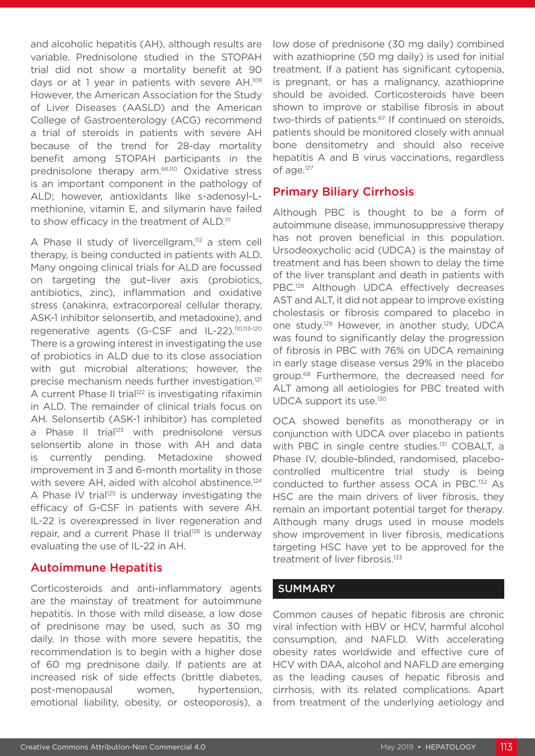and alcoholic hepatitis (AH), although results are variable. Prednisolone studied in the STOPAH trial did not show a mortality benefit at 90 days or at 1 year in patients with severe AH.<sup>109</sup> However, the American Association for the Study of Liver Diseases (AASLD) and the American College of Gastroenterology (ACG) recommend a trial of steroids in patients with severe AH because of the trend for 28-day mortality benefit among STOPAH participants in the prednisolone therapy arm.66,110 Oxidative stress is an important component in the pathology of ALD; however, antioxidants like s-adenosyl-Lmethionine, vitamin E, and silymarin have failed to show efficacy in the treatment of ALD.<sup>111</sup>

A Phase II study of livercellgram,<sup>112</sup> a stem cell therapy, is being conducted in patients with ALD. Many ongoing clinical trials for ALD are focussed on targeting the gut–liver axis (probiotics, antibiotics, zinc), inflammation and oxidative stress (anakinra, extracorporeal cellular therapy, ASK-1 inhibitor selonsertib, and metadoxine), and regenerative agents (G-CSF and IL-22).110,113-120 There is a growing interest in investigating the use of probiotics in ALD due to its close association with gut microbial alterations; however, the precise mechanism needs further investigation.121 A current Phase II trial<sup>122</sup> is investigating rifaximin in ALD. The remainder of clinical trials focus on AH. Selonsertib (ASK-1 inhibitor) has completed a Phase II trial<sup>123</sup> with prednisolone versus selonsertib alone in those with AH and data is currently pending. Metadoxine showed improvement in 3 and 6-month mortality in those with severe AH, aided with alcohol abstinence.<sup>124</sup> A Phase IV trial<sup>125</sup> is underway investigating the efficacy of G-CSF in patients with severe AH. IL-22 is overexpressed in liver regeneration and repair, and a current Phase II trial<sup>126</sup> is underway evaluating the use of IL-22 in AH.

# Autoimmune Hepatitis

Corticosteroids and anti-inflammatory agents are the mainstay of treatment for autoimmune hepatitis. In those with mild disease, a low dose of prednisone may be used, such as 30 mg daily. In those with more severe hepatitis, the recommendation is to begin with a higher dose of 60 mg prednisone daily. If patients are at increased risk of side effects (brittle diabetes, post-menopausal women, hypertension, emotional liability, obesity, or osteoporosis), a

low dose of prednisone (30 mg daily) combined with azathioprine (50 mg daily) is used for initial treatment. If a patient has significant cytopenia, is pregnant, or has a malignancy, azathioprine should be avoided. Corticosteroids have been shown to improve or stabilise fibrosis in about two-thirds of patients.<sup>67</sup> If continued on steroids, patients should be monitored closely with annual bone densitometry and should also receive hepatitis A and B virus vaccinations, regardless of age.127

# Primary Biliary Cirrhosis

Although PBC is thought to be a form of autoimmune disease, immunosuppressive therapy has not proven beneficial in this population. Ursodeoxycholic acid (UDCA) is the mainstay of treatment and has been shown to delay the time of the liver transplant and death in patients with PBC.<sup>128</sup> Although UDCA effectively decreases AST and ALT, it did not appear to improve existing cholestasis or fibrosis compared to placebo in one study.129 However, in another study, UDCA was found to significantly delay the progression of fibrosis in PBC with 76% on UDCA remaining in early stage disease versus 29% in the placebo group.68 Furthermore, the decreased need for ALT among all aetiologies for PBC treated with UDCA support its use.<sup>130</sup>

OCA showed benefits as monotherapy or in conjunction with UDCA over placebo in patients with PBC in single centre studies.<sup>131</sup> COBALT, a Phase IV, double-blinded, randomised, placebocontrolled multicentre trial study is being conducted to further assess OCA in PBC.132 As HSC are the main drivers of liver fibrosis, they remain an important potential target for therapy. Although many drugs used in mouse models show improvement in liver fibrosis, medications targeting HSC have yet to be approved for the treatment of liver fibrosis.133

# **SUMMARY**

Common causes of hepatic fibrosis are chronic viral infection with HBV or HCV, harmful alcohol consumption, and NAFLD. With accelerating obesity rates worldwide and effective cure of HCV with DAA, alcohol and NAFLD are emerging as the leading causes of hepatic fibrosis and cirrhosis, with its related complications. Apart from treatment of the underlying aetiology and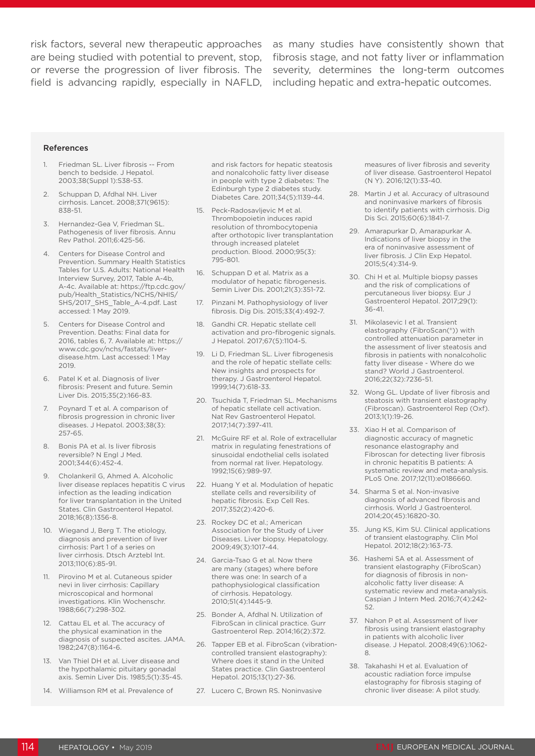risk factors, several new therapeutic approaches as many studies have consistently shown that are being studied with potential to prevent, stop, fibrosis stage, and not fatty liver or inflammation or reverse the progression of liver fibrosis. The severity, determines the long-term outcomes field is advancing rapidly, especially in NAFLD, including hepatic and extra-hepatic outcomes.

#### References

- 1. Friedman SL. Liver fibrosis -- From bench to bedside. J Hepatol. 2003;38(Suppl 1):S38-53.
- 2. Schuppan D, Afdhal NH. Liver cirrhosis. Lancet. 2008;371(9615): 838-51.
- 3. Hernandez-Gea V, Friedman SL. Pathogenesis of liver fibrosis. Annu Rev Pathol. 2011;6:425-56.
- 4. Centers for Disease Control and Prevention. Summary Health Statistics Tables for U.S. Adults: National Health Interview Survey, 2017, Table A-4b, A-4c. Available at: https://ftp.cdc.gov/ pub/Health\_Statistics/NCHS/NHIS/ SHS/2017\_SHS\_Table\_A-4.pdf. Last accessed: 1 May 2019.
- 5. Centers for Disease Control and Prevention. Deaths: Final data for 2016, tables 6, 7. Available at: https:// www.cdc.gov/nchs/fastats/liverdisease.htm. Last accessed: 1 May 2019.
- 6. Patel K et al. Diagnosis of liver fibrosis: Present and future. Semin Liver Dis. 2015;35(2):166-83.
- 7. Poynard T et al. A comparison of fibrosis progression in chronic liver diseases. J Hepatol. 2003;38(3): 257-65.
- 8. Bonis PA et al. Is liver fibrosis reversible? N Engl J Med. 2001;344(6):452-4.
- 9. Cholankeril G, Ahmed A. Alcoholic liver disease replaces hepatitis C virus infection as the leading indication for liver transplantation in the United States. Clin Gastroenterol Hepatol. 2018;16(8):1356-8.
- 10. Wiegand J, Berg T. The etiology, diagnosis and prevention of liver cirrhosis: Part 1 of a series on liver cirrhosis. Dtsch Arztebl Int. 2013;110(6):85-91.
- 11. Pirovino M et al. Cutaneous spider nevi in liver cirrhosis: Capillary microscopical and hormonal investigations. Klin Wochenschr. 1988;66(7):298-302.
- 12. Cattau EL et al. The accuracy of the physical examination in the diagnosis of suspected ascites. JAMA. 1982;247(8):1164-6.
- 13. Van Thiel DH et al. Liver disease and the hypothalamic pituitary gonadal axis. Semin Liver Dis. 1985;5(1):35-45.
- 14. Williamson RM et al. Prevalence of

and risk factors for hepatic steatosis and nonalcoholic fatty liver disease in people with type 2 diabetes: The Edinburgh type 2 diabetes study. Diabetes Care. 2011;34(5):1139-44.

- 15. Peck-Radosavljevic M et al. Thrombopoietin induces rapid resolution of thrombocytopenia after orthotopic liver transplantation through increased platelet production. Blood. 2000;95(3): 795-801.
- 16. Schuppan D et al. Matrix as a modulator of hepatic fibrogenesis. Semin Liver Dis. 2001;21(3):351-72.
- 17. Pinzani M. Pathophysiology of liver fibrosis. Dig Dis. 2015;33(4):492-7.
- 18. Gandhi CR. Hepatic stellate cell activation and pro-fibrogenic signals. J Hepatol. 2017;67(5):1104-5.
- 19. Li D, Friedman SL. Liver fibrogenesis and the role of hepatic stellate cells: New insights and prospects for therapy. J Gastroenterol Hepatol. 1999;14(7):618-33.
- 20. Tsuchida T, Friedman SL. Mechanisms of hepatic stellate cell activation. Nat Rev Gastroenterol Hepatol. 2017;14(7):397-411.
- 21. McGuire RF et al. Role of extracellular matrix in regulating fenestrations of sinusoidal endothelial cells isolated from normal rat liver. Hepatology. 1992;15(6):989-97.
- 22. Huang Y et al. Modulation of hepatic stellate cells and reversibility of hepatic fibrosis. Exp Cell Res. 2017;352(2):420-6.
- 23. Rockey DC et al.; American Association for the Study of Liver Diseases. Liver biopsy. Hepatology. 2009;49(3):1017-44.
- 24. Garcia-Tsao G et al. Now there are many (stages) where before there was one: In search of a pathophysiological classification of cirrhosis. Hepatology. 2010;51(4):1445-9.
- 25. Bonder A, Afdhal N. Utilization of FibroScan in clinical practice. Gurr Gastroenterol Rep. 2014;16(2):372.
- 26. Tapper EB et al. FibroScan (vibrationcontrolled transient elastography): Where does it stand in the United States practice. Clin Gastroenterol Hepatol. 2015;13(1):27-36.
- 27. Lucero C, Brown RS. Noninvasive

measures of liver fibrosis and severity of liver disease. Gastroenterol Hepatol (N Y). 2016;12(1):33-40.

- 28. Martin J et al. Accuracy of ultrasound and noninvasive markers of fibrosis to identify patients with cirrhosis. Dig Dis Sci. 2015;60(6):1841-7.
- 29. Amarapurkar D, Amarapurkar A. Indications of liver biopsy in the era of noninvasive assessment of liver fibrosis. J Clin Exp Hepatol. 2015;5(4):314-9.
- 30. Chi H et al. Multiple biopsy passes and the risk of complications of percutaneous liver biopsy. Eur J Gastroenterol Hepatol. 2017;29(1): 36-41.
- 31. Mikolasevic I et al. Transient elastography (FibroScan(®)) with controlled attenuation parameter in the assessment of liver steatosis and fibrosis in patients with nonalcoholic fatty liver disease - Where do we stand? World J Gastroenterol. 2016;22(32):7236-51.
- 32. Wong GL. Update of liver fibrosis and steatosis with transient elastography (Fibroscan). Gastroenterol Rep (Oxf). 2013;1(1):19-26.
- 33. Xiao H et al. Comparison of diagnostic accuracy of magnetic resonance elastography and Fibroscan for detecting liver fibrosis in chronic hepatitis B patients: A systematic review and meta-analysis. PLoS One. 2017;12(11):e0186660.
- 34. Sharma S et al. Non-invasive diagnosis of advanced fibrosis and cirrhosis. World J Gastroenterol. 2014;20(45):16820-30.
- 35. Jung KS, Kim SU. Clinical applications of transient elastography. Clin Mol Hepatol. 2012;18(2):163-73.
- 36. Hashemi SA et al. Assessment of transient elastography (FibroScan) for diagnosis of fibrosis in nonalcoholic fatty liver disease: A systematic review and meta-analysis. Caspian J Intern Med. 2016;7(4):242- 52.
- 37. Nahon P et al. Assessment of liver fibrosis using transient elastography in patients with alcoholic liver disease. J Hepatol. 2008;49(6):1062- 8.
- 38. Takahashi H et al. Evaluation of acoustic radiation force impulse elastography for fibrosis staging of chronic liver disease: A pilot study.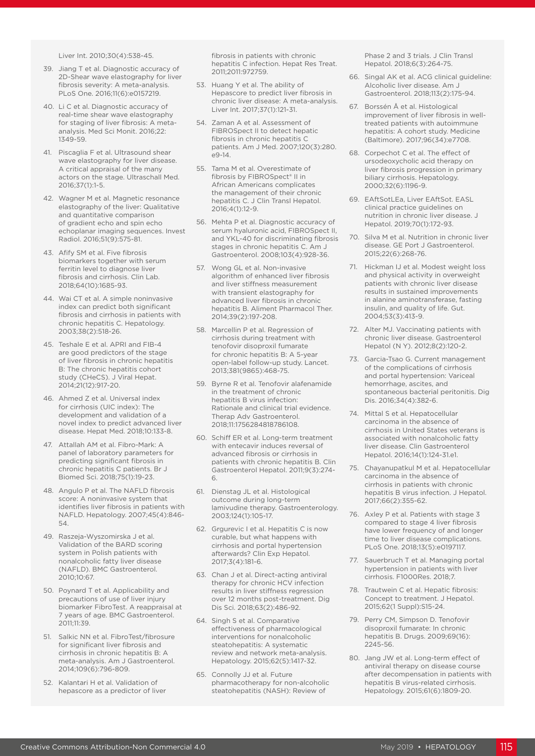Liver Int. 2010;30(4):538-45.

- 39. Jiang T et al. Diagnostic accuracy of 2D-Shear wave elastography for liver fibrosis severity: A meta-analysis. PLoS One. 2016;11(6):e0157219.
- 40. Li C et al. Diagnostic accuracy of real-time shear wave elastography for staging of liver fibrosis: A metaanalysis. Med Sci Monit. 2016;22: 1349-59.
- 41. Piscaglia F et al. Ultrasound shear wave elastography for liver disease. A critical appraisal of the many actors on the stage. Ultraschall Med. 2016;37(1):1-5.
- 42. Wagner M et al. Magnetic resonance elastography of the liver: Qualitative and quantitative comparison of gradient echo and spin echo echoplanar imaging sequences. Invest Radiol. 2016;51(9):575-81.
- 43. Afify SM et al. Five fibrosis biomarkers together with serum ferritin level to diagnose liver fibrosis and cirrhosis. Clin Lab. 2018;64(10):1685-93.
- 44. Wai CT et al. A simple noninvasive index can predict both significant fibrosis and cirrhosis in patients with chronic hepatitis C. Hepatology. 2003;38(2):518-26.
- 45. Teshale E et al. APRI and FIB-4 are good predictors of the stage of liver fibrosis in chronic hepatitis B: The chronic hepatitis cohort study (CHeCS). J Viral Hepat. 2014;21(12):917-20.
- 46. Ahmed Z et al. Universal index for cirrhosis (UIC index): The development and validation of a novel index to predict advanced liver disease. Hepat Med. 2018;10:133-8.
- 47. Attallah AM et al. Fibro-Mark: A panel of laboratory parameters for predicting significant fibrosis in chronic hepatitis C patients. Br J Biomed Sci. 2018;75(1):19-23.
- 48. Angulo P et al. The NAFLD fibrosis score: A noninvasive system that identifies liver fibrosis in patients with NAFLD. Hepatology. 2007;45(4):846- 54.
- 49. Raszeja-Wyszomirska J et al. Validation of the BARD scoring system in Polish patients with nonalcoholic fatty liver disease (NAFLD). BMC Gastroenterol. 2010;10:67.
- 50. Poynard T et al. Applicability and precautions of use of liver injury biomarker FibroTest. A reappraisal at 7 years of age. BMC Gastroenterol. 2011;11:39.
- 51. Salkic NN et al. FibroTest/fibrosure for significant liver fibrosis and cirrhosis in chronic hepatitis B: A meta-analysis. Am J Gastroenterol. 2014;109(6):796-809.
- 52. Kalantari H et al. Validation of hepascore as a predictor of liver

fibrosis in patients with chronic hepatitis C infection. Hepat Res Treat. 2011;2011:972759.

- 53. Huang Y et al. The ability of Hepascore to predict liver fibrosis in chronic liver disease: A meta-analysis. Liver Int. 2017;37(1):121-31.
- 54. Zaman A et al. Assessment of FIBROSpect II to detect hepatic fibrosis in chronic hepatitis C patients. Am J Med. 2007;120(3):280.  $-9 - 14$
- 55. Tama M et al. Overestimate of fibrosis by FIBROSpect® II in African Americans complicates the management of their chronic hepatitis C. J Clin Transl Hepatol. 2016;4(1):12-9.
- 56. Mehta P et al. Diagnostic accuracy of serum hyaluronic acid, FIBROSpect II, and YKL-40 for discriminating fibrosis stages in chronic hepatitis C. Am J Gastroenterol. 2008;103(4):928-36.
- 57. Wong GL et al. Non-invasive algorithm of enhanced liver fibrosis and liver stiffness measurement with transient elastography for advanced liver fibrosis in chronic hepatitis B. Aliment Pharmacol Ther. 2014;39(2):197-208.
- 58. Marcellin P et al. Regression of cirrhosis during treatment with tenofovir disoproxil fumarate for chronic hepatitis B: A 5-year open-label follow-up study. Lancet. 2013;381(9865):468-75.
- 59. Byrne R et al. Tenofovir alafenamide in the treatment of chronic hepatitis B virus infection: Rationale and clinical trial evidence. Therap Adv Gastroenterol. 2018;11:1756284818786108.
- 60. Schiff ER et al. Long-term treatment with entecavir induces reversal of advanced fibrosis or cirrhosis in patients with chronic hepatitis B. Clin Gastroenterol Hepatol. 2011;9(3):274- 6.
- 61. Dienstag JL et al. Histological outcome during long-term lamivudine therapy. Gastroenterology. 2003;124(1):105-17.
- 62. Grgurevic I et al. Hepatitis C is now curable, but what happens with cirrhosis and portal hypertension afterwards? Clin Exp Hepatol. 2017;3(4):181-6.
- 63. Chan J et al. Direct-acting antiviral therapy for chronic HCV infection results in liver stiffness regression over 12 months post-treatment. Dig Dis Sci. 2018;63(2):486-92.
- 64. Singh S et al. Comparative effectiveness of pharmacological interventions for nonalcoholic steatohepatitis: A systematic review and network meta-analysis. Hepatology. 2015;62(5):1417-32.
- 65. Connolly JJ et al. Future pharmacotherapy for non-alcoholic steatohepatitis (NASH): Review of

Phase 2 and 3 trials. J Clin Transl Hepatol. 2018;6(3):264-75.

- 66. Singal AK et al. ACG clinical guideline: Alcoholic liver disease. Am J Gastroenterol. 2018;113(2):175-94.
- 67. Borssén Å et al. Histological improvement of liver fibrosis in welltreated patients with autoimmune hepatitis: A cohort study. Medicine (Baltimore). 2017;96(34):e7708.
- 68. Corpechot C et al. The effect of ursodeoxycholic acid therapy on liver fibrosis progression in primary biliary cirrhosis. Hepatology. 2000;32(6):1196-9.
- 69. EAftSotLEa, Liver EAftSot. EASL clinical practice guidelines on nutrition in chronic liver disease. J Hepatol. 2019;70(1):172-93.
- 70. Silva M et al. Nutrition in chronic liver disease. GE Port J Gastroenterol. 2015;22(6):268-76.
- 71. Hickman IJ et al. Modest weight loss and physical activity in overweight patients with chronic liver disease results in sustained improvements in alanine aminotransferase, fasting insulin, and quality of life. Gut. 2004;53(3):413-9.
- 72. Alter MJ. Vaccinating patients with chronic liver disease. Gastroenterol Hepatol (N Y). 2012;8(2):120-2.
- 73. Garcia-Tsao G. Current management of the complications of cirrhosis and portal hypertension: Variceal hemorrhage, ascites, and spontaneous bacterial peritonitis. Dig Dis. 2016;34(4):382-6.
- 74. Mittal S et al. Hepatocellular carcinoma in the absence of cirrhosis in United States veterans is associated with nonalcoholic fatty liver disease. Clin Gastroenterol Hepatol. 2016;14(1):124-31.e1.
- 75. Chayanupatkul M et al. Hepatocellular carcinoma in the absence of cirrhosis in patients with chronic hepatitis B virus infection. J Hepatol. 2017;66(2):355-62.
- 76. Axley P et al. Patients with stage 3 compared to stage 4 liver fibrosis have lower frequency of and longer time to liver disease complications. PLoS One. 2018;13(5):e0197117.
- 77. Sauerbruch T et al. Managing portal hypertension in patients with liver cirrhosis. F1000Res. 2018;7.
- 78. Trautwein C et al. Hepatic fibrosis: Concept to treatment. J Hepatol. 2015;62(1 Suppl):S15-24.
- 79. Perry CM, Simpson D. Tenofovir disoproxil fumarate: In chronic hepatitis B. Drugs. 2009;69(16): 2245-56.
- 80. Jang JW et al. Long-term effect of antiviral therapy on disease course after decompensation in patients with hepatitis B virus-related cirrhosis. Hepatology. 2015;61(6):1809-20.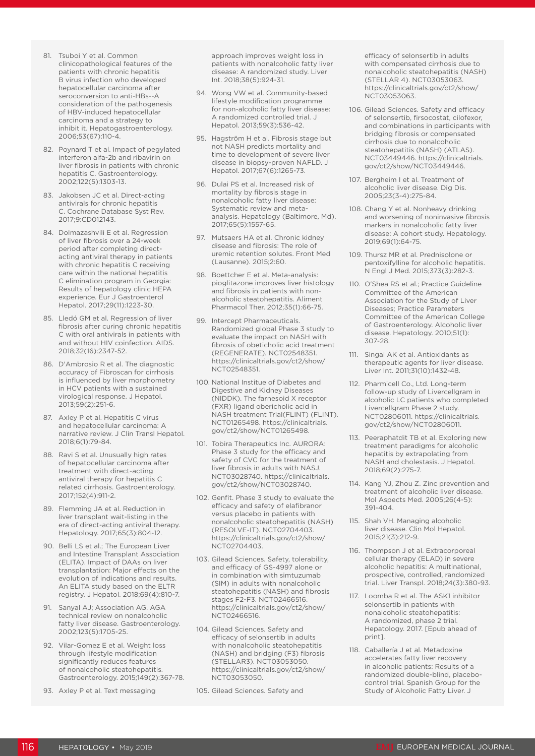- 81. Tsuboi Y et al. Common clinicopathological features of the patients with chronic hepatitis B virus infection who developed hepatocellular carcinoma after seroconversion to anti-HBs--A consideration of the pathogenesis of HBV-induced hepatocellular carcinoma and a strategy to inhibit it. Hepatogastroenterology. 2006;53(67):110-4.
- 82. Poynard T et al. Impact of pegylated interferon alfa-2b and ribavirin on liver fibrosis in patients with chronic hepatitis C. Gastroenterology. 2002;122(5):1303-13.
- 83. Jakobsen JC et al. Direct-acting antivirals for chronic hepatitis C. Cochrane Database Syst Rev. 2017;9:CD012143.
- 84. Dolmazashvili E et al. Regression of liver fibrosis over a 24-week period after completing directacting antiviral therapy in patients with chronic hepatitis C receiving care within the national hepatitis C elimination program in Georgia: Results of hepatology clinic HEPA experience. Eur J Gastroenterol Hepatol. 2017;29(11):1223-30.
- 85. Lledó GM et al. Regression of liver fibrosis after curing chronic hepatitis C with oral antivirals in patients with and without HIV coinfection. AIDS. 2018;32(16):2347-52.
- 86. D'Ambrosio R et al. The diagnostic accuracy of Fibroscan for cirrhosis is influenced by liver morphometry in HCV patients with a sustained virological response. J Hepatol. 2013;59(2):251-6.
- 87. Axley P et al. Hepatitis C virus and hepatocellular carcinoma: A narrative review. J Clin Transl Hepatol. 2018;6(1):79-84.
- 88. Ravi S et al. Unusually high rates of hepatocellular carcinoma after treatment with direct-acting antiviral therapy for hepatitis C related cirrhosis. Gastroenterology. 2017;152(4):911-2.
- 89. Flemming JA et al. Reduction in liver transplant wait-listing in the era of direct-acting antiviral therapy. Hepatology. 2017;65(3):804-12.
- 90. Belli LS et al.; The European Liver and Intestine Transplant Association (ELITA). Impact of DAAs on liver transplantation: Major effects on the evolution of indications and results. An ELITA study based on the ELTR registry. J Hepatol. 2018;69(4):810-7.
- 91. Sanyal AJ; Association AG. AGA technical review on nonalcoholic fatty liver disease. Gastroenterology. 2002;123(5):1705-25.
- 92. Vilar-Gomez E et al. Weight loss through lifestyle modification significantly reduces features of nonalcoholic steatohepatitis. Gastroenterology. 2015;149(2):367-78.
- 93. Axley P et al. Text messaging

approach improves weight loss in patients with nonalcoholic fatty liver disease: A randomized study. Liver Int. 2018;38(5):924-31.

- 94. Wong VW et al. Community-based lifestyle modification programme for non-alcoholic fatty liver disease: A randomized controlled trial. J Hepatol. 2013;59(3):536-42.
- 95. Hagström H et al. Fibrosis stage but not NASH predicts mortality and time to development of severe liver disease in biopsy-proven NAFLD. J Hepatol. 2017;67(6):1265-73.
- 96. Dulai PS et al. Increased risk of mortality by fibrosis stage in nonalcoholic fatty liver disease: Systematic review and metaanalysis. Hepatology (Baltimore, Md). 2017;65(5):1557-65.
- 97. Mutsaers HA et al. Chronic kidney disease and fibrosis: The role of uremic retention solutes. Front Med (Lausanne). 2015;2:60.
- 98. Boettcher E et al. Meta-analysis: pioglitazone improves liver histology and fibrosis in patients with nonalcoholic steatohepatitis. Aliment Pharmacol Ther. 2012;35(1):66-75.
- 99. Intercept Pharmaceuticals. Randomized global Phase 3 study to evaluate the impact on NASH with fibrosis of obeticholic acid treatment (REGENERATE). NCT02548351. https://clinicaltrials.gov/ct2/show/ NCT02548351.
- 100. National Institue of Diabetes and Digestive and Kidney Diseases (NIDDK). The farnesoid X receptor (FXR) ligand obericholic acid in NASH treatment Trial(FLINT) (FLINT). NCT01265498. https://clinicaltrials. gov/ct2/show/NCT01265498.
- 101. Tobira Therapeutics Inc. AURORA: Phase 3 study for the efficacy and safety of CVC for the treatment of liver fibrosis in adults with NASJ. NCT03028740. https://clinicaltrials. gov/ct2/show/NCT03028740.
- 102. Genfit. Phase 3 study to evaluate the efficacy and safety of elafibranor versus placebo in patients with nonalcoholic steatohepatitis (NASH) (RESOLVE-IT). NCT02704403. https://clinicaltrials.gov/ct2/show/ NCT02704403.
- 103. Gilead Sciences. Safety, tolerability, and efficacy of GS-4997 alone or in combination with simtuzumab (SIM) in adults with nonalcoholic steatohepatitis (NASH) and fibrosis stages F2-F3. NCT02466516. https://clinicaltrials.gov/ct2/show/ NCT02466516.
- 104. Gilead Sciences. Safety and efficacy of selonsertib in adults with nonalcoholic steatohepatitis (NASH) and bridging (F3) fibrosis (STELLAR3). NCT03053050. https://clinicaltrials.gov/ct2/show/ NCT03053050.
- 105. Gilead Sciences. Safety and

efficacy of selonsertib in adults with compensated cirrhosis due to nonalcoholic steatohepatitis (NASH) (STELLAR 4). NCT03053063. https://clinicaltrials.gov/ct2/show/ NCT03053063.

- 106. Gilead Sciences. Safety and efficacy of selonsertib, firsocostat, cilofexor, and combinations in participants with bridging fibrosis or compensated cirrhosis due to nonalcoholic steatohepatitis (NASH) (ATLAS). NCT03449446. https://clinicaltrials. gov/ct2/show/NCT03449446.
- 107. Bergheim I et al. Treatment of alcoholic liver disease. Dig Dis. 2005;23(3-4):275-84.
- 108. Chang Y et al. Nonheavy drinking and worsening of noninvasive fibrosis markers in nonalcoholic fatty liver disease: A cohort study. Hepatology. 2019;69(1):64-75.
- 109. Thursz MR et al. Prednisolone or pentoxifylline for alcoholic hepatitis. N Engl J Med. 2015;373(3):282-3.
- 110. O'Shea RS et al.; Practice Guideline Committee of the American Association for the Study of Liver Diseases; Practice Parameters Committee of the American College of Gastroenterology. Alcoholic liver disease. Hepatology. 2010;51(1): 307-28.
- 111. Singal AK et al. Antioxidants as therapeutic agents for liver disease. Liver Int. 2011;31(10):1432-48.
- 112. Pharmicell Co., Ltd. Long-term follow-up study of Livercellgram in alcoholic LC patients who completed Livercellgram Phase 2 study. NCT02806011. https://clinicaltrials. gov/ct2/show/NCT02806011.
- 113. Peeraphatdit TB et al. Exploring new treatment paradigms for alcoholic hepatitis by extrapolating from NASH and cholestasis. J Hepatol. 2018;69(2):275-7.
- 114. Kang YJ, Zhou Z. Zinc prevention and treatment of alcoholic liver disease. Mol Aspects Med. 2005;26(4-5): 391-404.
- 115. Shah VH. Managing alcoholic liver disease. Clin Mol Hepatol. 2015;21(3):212-9.
- 116. Thompson J et al. Extracorporeal cellular therapy (ELAD) in severe alcoholic hepatitis: A multinational, prospective, controlled, randomized trial. Liver Transpl. 2018;24(3):380-93.
- 117. Loomba R et al. The ASK1 inhibitor selonsertib in patients with nonalcoholic steatohepatitis: A randomized, phase 2 trial. Hepatology. 2017. [Epub ahead of print].
- 118. Caballería J et al. Metadoxine accelerates fatty liver recovery in alcoholic patients: Results of a randomized double-blind, placebocontrol trial. Spanish Group for the Study of Alcoholic Fatty Liver. J